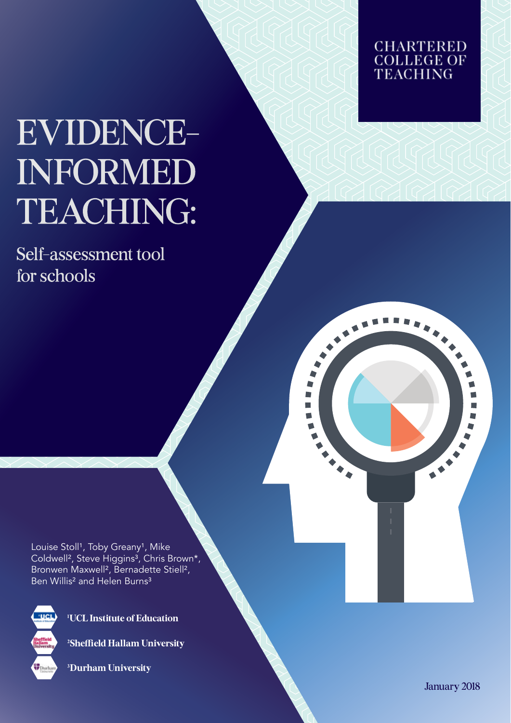# **EVIDENCE-INFORMED** TEACHING:

Self-assessment tool for schools



▛ Þ  $\blacksquare$  $\blacksquare$ 

Louise Stoll<sup>1</sup>, Toby Greany<sup>1</sup>, Mike Coldwell<sup>2</sup>, Steve Higgins<sup>3</sup>, Chris Brown\*, Bronwen Maxwell², Bernadette Stiell², Ben Willis<sup>2</sup> and Helen Burns<sup>3</sup>



**¹UCL Institute of Education**

**²Sheffield Hallam University** 

**³Durham University**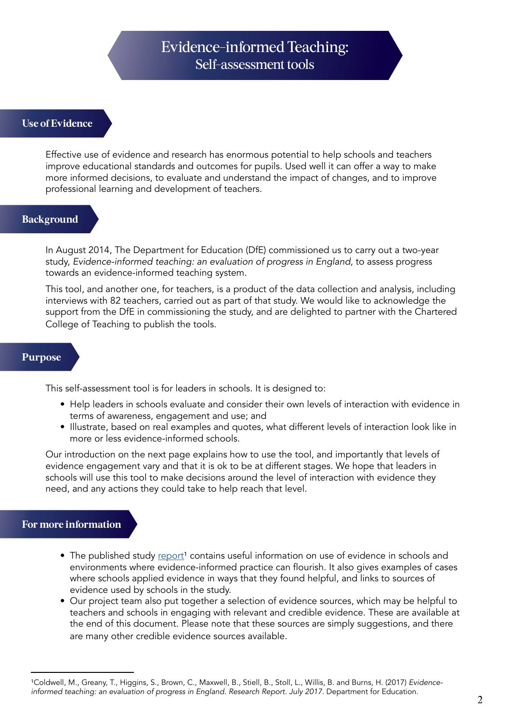## Evidence-informed Teaching: Self-assessment tools

#### **Use of Evidence**

Effective use of evidence and research has enormous potential to help schools and teachers improve educational standards and outcomes for pupils. Used well it can offer a way to make more informed decisions, to evaluate and understand the impact of changes, and to improve professional learning and development of teachers.

#### **Background**

In August 2014, The Department for Education (DfE) commissioned us to carry out a two-year study, *Evidence-informed teaching: an evaluation of progress in England,* to assess progress towards an evidence-informed teaching system.

This tool, and another one, for teachers, is a product of the data collection and analysis, including interviews with 82 teachers, carried out as part of that study. We would like to acknowledge the support from the DfE in commissioning the study, and are delighted to partner with the Chartered College of Teaching to publish the tools.

#### **Purpose**

This self-assessment tool is for leaders in schools. It is designed to:

- Help leaders in schools evaluate and consider their own levels of interaction with evidence in terms of awareness, engagement and use; and
- Illustrate, based on real examples and quotes, what different levels of interaction look like in more or less evidence-informed schools.

Our introduction on the next page explains how to use the tool, and importantly that levels of evidence engagement vary and that it is ok to be at different stages. We hope that leaders in schools will use this tool to make decisions around the level of interaction with evidence they need, and any actions they could take to help reach that level.

### **For more information**

- The published study report<sup>1</sup> contains useful information on use of evidence in schools and environments where evidence-informed practice can flourish. It also gives examples of cases where schools applied evidence in ways that they found helpful, and links to sources of evidence used by schools in the study.
- Our project team also put together a selection of evidence sources, which may be helpful to teachers and schools in engaging with relevant and credible evidence. These are available at the end of this document. Please note that these sources are simply suggestions, and there are many other credible evidence sources available.

<sup>&</sup>lt;sup>1</sup>Coldwell, M., Greany, T., Higgins, S., Brown, C., Maxwell, B., Stiell, B., Stoll, L., Willis, B. and Burns, H. (2017) *Evidenceinformed teaching: an evaluation of progress in England. Research Report. July 2017.* Department for Education.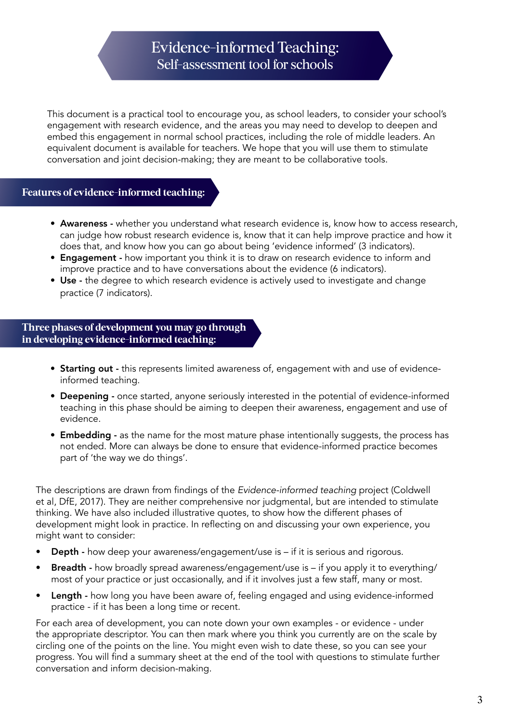## Evidence-informed Teaching: Self-assessment tool for schools

This document is a practical tool to encourage you, as school leaders, to consider your school's engagement with research evidence, and the areas you may need to develop to deepen and embed this engagement in normal school practices, including the role of middle leaders. An equivalent document is available for teachers. We hope that you will use them to stimulate conversation and joint decision-making; they are meant to be collaborative tools.

### **Features of evidence-informed teaching:**

- Awareness whether you understand what research evidence is, know how to access research, can judge how robust research evidence is, know that it can help improve practice and how it does that, and know how you can go about being 'evidence informed' (3 indicators).
- Engagement how important you think it is to draw on research evidence to inform and improve practice and to have conversations about the evidence (6 indicators).
- Use the degree to which research evidence is actively used to investigate and change practice (7 indicators).

**Three phases of development you may go through in developing evidence-informed teaching:**

- Starting out this represents limited awareness of, engagement with and use of evidenceinformed teaching.
- Deepening once started, anyone seriously interested in the potential of evidence-informed teaching in this phase should be aiming to deepen their awareness, engagement and use of evidence.
- Embedding as the name for the most mature phase intentionally suggests, the process has not ended. More can always be done to ensure that evidence-informed practice becomes part of 'the way we do things'.

The descriptions are drawn from findings of the *Evidence-informed teaching* project (Coldwell et al, DfE, 2017). They are neither comprehensive nor judgmental, but are intended to stimulate thinking. We have also included illustrative quotes, to show how the different phases of development might look in practice. In reflecting on and discussing your own experience, you might want to consider:

- Depth how deep your awareness/engagement/use is if it is serious and rigorous.
- Breadth how broadly spread awareness/engagement/use is if you apply it to everything/ most of your practice or just occasionally, and if it involves just a few staff, many or most.
- Length how long you have been aware of, feeling engaged and using evidence-informed practice - if it has been a long time or recent.

For each area of development, you can note down your own examples - or evidence - under the appropriate descriptor. You can then mark where you think you currently are on the scale by circling one of the points on the line. You might even wish to date these, so you can see your progress. You will find a summary sheet at the end of the tool with questions to stimulate further conversation and inform decision-making.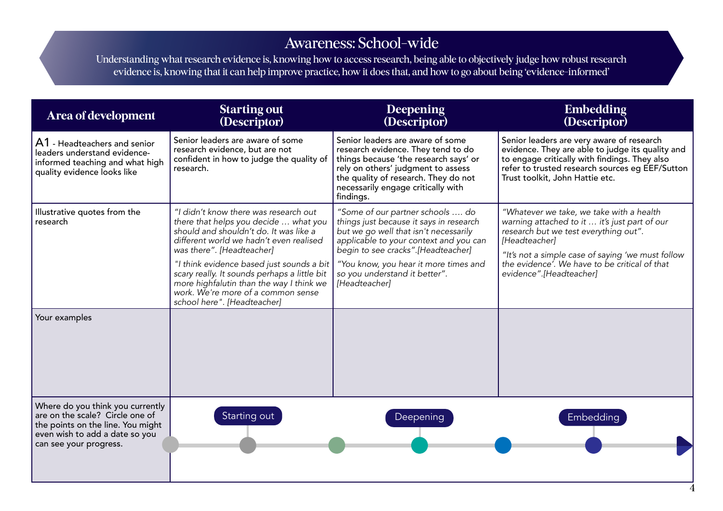## Awareness: School-wide

Understanding what research evidence is, knowing how to access research, being able to objectively judge how robust research evidence is, knowing that it can help improve practice, how it does that, and how to go about being 'evidence-informed'

| <b>Area of development</b>                                                                                                                                           | <b>Starting out</b><br>(Descriptor)                                                                                                                                                                                                                                                                                                                                                                            | Deepening<br>(Descriptor)                                                                                                                                                                                                                                                                       | <b>Embedding</b><br>(Descriptor)                                                                                                                                                                                                                                                     |
|----------------------------------------------------------------------------------------------------------------------------------------------------------------------|----------------------------------------------------------------------------------------------------------------------------------------------------------------------------------------------------------------------------------------------------------------------------------------------------------------------------------------------------------------------------------------------------------------|-------------------------------------------------------------------------------------------------------------------------------------------------------------------------------------------------------------------------------------------------------------------------------------------------|--------------------------------------------------------------------------------------------------------------------------------------------------------------------------------------------------------------------------------------------------------------------------------------|
| A1 - Headteachers and senior<br>leaders understand evidence-<br>informed teaching and what high<br>quality evidence looks like                                       | Senior leaders are aware of some<br>research evidence, but are not<br>confident in how to judge the quality of<br>research.                                                                                                                                                                                                                                                                                    | Senior leaders are aware of some<br>research evidence. They tend to do<br>things because 'the research says' or<br>rely on others' judgment to assess<br>the quality of research. They do not<br>necessarily engage critically with<br>findings.                                                | Senior leaders are very aware of research<br>evidence. They are able to judge its quality and<br>to engage critically with findings. They also<br>refer to trusted research sources eg EEF/Sutton<br>Trust toolkit, John Hattie etc.                                                 |
| Illustrative quotes from the<br>research                                                                                                                             | "I didn't know there was research out<br>there that helps you decide  what you<br>should and shouldn't do. It was like a<br>different world we hadn't even realised<br>was there". [Headteacher]<br>"I think evidence based just sounds a bit<br>scary really. It sounds perhaps a little bit<br>more highfalutin than the way I think we<br>work. We're more of a common sense<br>school here". [Headteacher] | "Some of our partner schools  do<br>things just because it says in research<br>but we go well that isn't necessarily<br>applicable to your context and you can<br>begin to see cracks".[Headteacher]<br>"You know, you hear it more times and<br>so you understand it better".<br>[Headteacher] | "Whatever we take, we take with a health<br>warning attached to it  it's just part of our<br>research but we test everything out".<br>[Headteacher]<br>"It's not a simple case of saying 'we must follow<br>the evidence'. We have to be critical of that<br>evidence".[Headteacher] |
| Your examples                                                                                                                                                        |                                                                                                                                                                                                                                                                                                                                                                                                                |                                                                                                                                                                                                                                                                                                 |                                                                                                                                                                                                                                                                                      |
| Where do you think you currently<br>are on the scale? Circle one of<br>the points on the line. You might<br>even wish to add a date so you<br>can see your progress. | Starting out                                                                                                                                                                                                                                                                                                                                                                                                   | Deepening                                                                                                                                                                                                                                                                                       | Embedding                                                                                                                                                                                                                                                                            |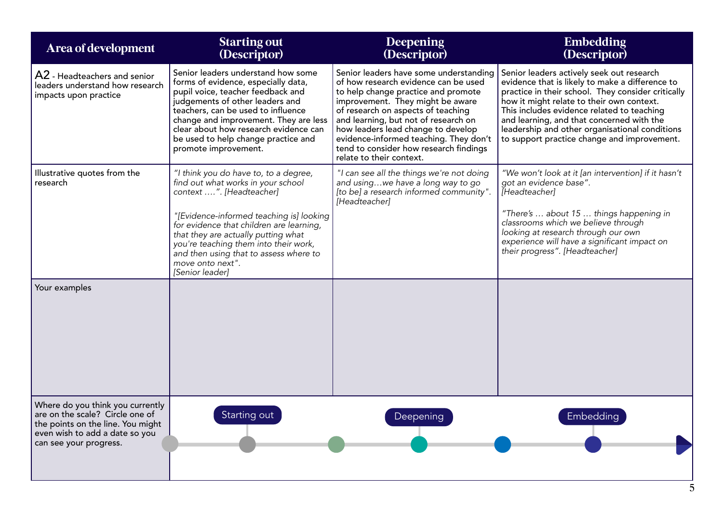| Area of development                                                                                                                                                  | <b>Starting out</b><br>(Descriptor)                                                                                                                                                                                                                                                                                                                              | Deepening<br>(Descriptor)                                                                                                                                                                                                                                                                                                                                                                     | <b>Embedding</b><br>(Descriptor)                                                                                                                                                                                                                                                                                                                                                            |
|----------------------------------------------------------------------------------------------------------------------------------------------------------------------|------------------------------------------------------------------------------------------------------------------------------------------------------------------------------------------------------------------------------------------------------------------------------------------------------------------------------------------------------------------|-----------------------------------------------------------------------------------------------------------------------------------------------------------------------------------------------------------------------------------------------------------------------------------------------------------------------------------------------------------------------------------------------|---------------------------------------------------------------------------------------------------------------------------------------------------------------------------------------------------------------------------------------------------------------------------------------------------------------------------------------------------------------------------------------------|
| A2 - Headteachers and senior<br>leaders understand how research<br>impacts upon practice                                                                             | Senior leaders understand how some<br>forms of evidence, especially data,<br>pupil voice, teacher feedback and<br>judgements of other leaders and<br>teachers, can be used to influence<br>change and improvement. They are less<br>clear about how research evidence can<br>be used to help change practice and<br>promote improvement.                         | Senior leaders have some understanding<br>of how research evidence can be used<br>to help change practice and promote<br>improvement. They might be aware<br>of research on aspects of teaching<br>and learning, but not of research on<br>how leaders lead change to develop<br>evidence-informed teaching. They don't<br>tend to consider how research findings<br>relate to their context. | Senior leaders actively seek out research<br>evidence that is likely to make a difference to<br>practice in their school. They consider critically<br>how it might relate to their own context.<br>This includes evidence related to teaching<br>and learning, and that concerned with the<br>leadership and other organisational conditions<br>to support practice change and improvement. |
| Illustrative quotes from the<br>research                                                                                                                             | "I think you do have to, to a degree,<br>find out what works in your school<br>context ". [Headteacher]<br>"[Evidence-informed teaching is] looking<br>for evidence that children are learning,<br>that they are actually putting what<br>you're teaching them into their work,<br>and then using that to assess where to<br>move onto next".<br>[Senior leader] | "I can see all the things we're not doing<br>and usingwe have a long way to go<br>[to be] a research informed community".<br>[Headteacher]                                                                                                                                                                                                                                                    | "We won't look at it [an intervention] if it hasn't<br>got an evidence base".<br>[Headteacher]<br>"There's  about 15  things happening in<br>classrooms which we believe through<br>looking at research through our own<br>experience will have a significant impact on<br>their progress". [Headteacher]                                                                                   |
| Your examples                                                                                                                                                        |                                                                                                                                                                                                                                                                                                                                                                  |                                                                                                                                                                                                                                                                                                                                                                                               |                                                                                                                                                                                                                                                                                                                                                                                             |
| Where do you think you currently<br>are on the scale? Circle one of<br>the points on the line. You might<br>even wish to add a date so you<br>can see your progress. | Starting out                                                                                                                                                                                                                                                                                                                                                     | Deepening                                                                                                                                                                                                                                                                                                                                                                                     | Embedding                                                                                                                                                                                                                                                                                                                                                                                   |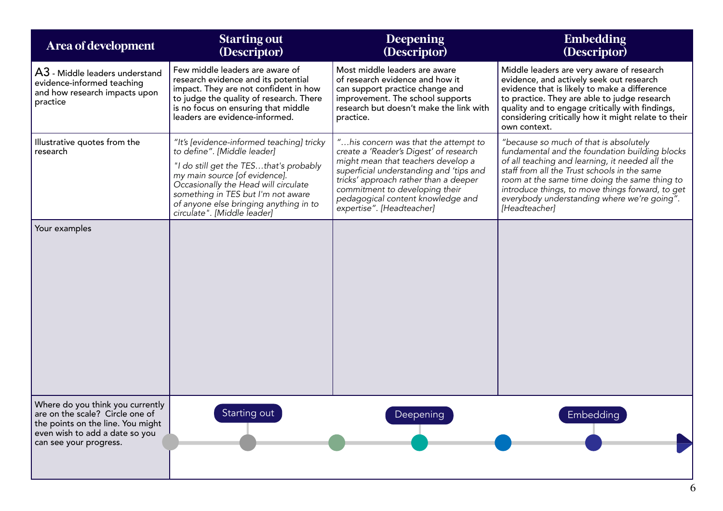| Area of development                                                                                                                                                  | <b>Starting out</b><br>(Descriptor)                                                                                                                                                                                                                                                                        | Deepening<br>(Descriptor)                                                                                                                                                                                                                                                                                    | <b>Embedding</b><br>(Descriptor)                                                                                                                                                                                                                                                                                                                                 |
|----------------------------------------------------------------------------------------------------------------------------------------------------------------------|------------------------------------------------------------------------------------------------------------------------------------------------------------------------------------------------------------------------------------------------------------------------------------------------------------|--------------------------------------------------------------------------------------------------------------------------------------------------------------------------------------------------------------------------------------------------------------------------------------------------------------|------------------------------------------------------------------------------------------------------------------------------------------------------------------------------------------------------------------------------------------------------------------------------------------------------------------------------------------------------------------|
| $\mathsf{A3}$ - Middle leaders understand<br>evidence-informed teaching<br>and how research impacts upon<br>practice                                                 | Few middle leaders are aware of<br>research evidence and its potential<br>impact. They are not confident in how<br>to judge the quality of research. There<br>is no focus on ensuring that middle<br>leaders are evidence-informed.                                                                        | Most middle leaders are aware<br>of research evidence and how it<br>can support practice change and<br>improvement. The school supports<br>research but doesn't make the link with<br>practice.                                                                                                              | Middle leaders are very aware of research<br>evidence, and actively seek out research<br>evidence that is likely to make a difference<br>to practice. They are able to judge research<br>quality and to engage critically with findings,<br>considering critically how it might relate to their<br>own context.                                                  |
| Illustrative quotes from the<br>research                                                                                                                             | "It's [evidence-informed teaching] tricky<br>to define". [Middle leader]<br>"I do still get the TESthat's probably<br>my main source [of evidence].<br>Occasionally the Head will circulate<br>something in TES but I'm not aware<br>of anyone else bringing anything in to<br>circulate". [Middle leader] | "his concern was that the attempt to<br>create a 'Reader's Digest' of research<br>might mean that teachers develop a<br>superficial understanding and 'tips and<br>tricks' approach rather than a deeper<br>commitment to developing their<br>pedagogical content knowledge and<br>expertise". [Headteacher] | "because so much of that is absolutely<br>fundamental and the foundation building blocks<br>of all teaching and learning, it needed all the<br>staff from all the Trust schools in the same<br>room at the same time doing the same thing to<br>introduce things, to move things forward, to get<br>everybody understanding where we're going".<br>[Headteacher] |
| Your examples                                                                                                                                                        |                                                                                                                                                                                                                                                                                                            |                                                                                                                                                                                                                                                                                                              |                                                                                                                                                                                                                                                                                                                                                                  |
| Where do you think you currently<br>are on the scale? Circle one of<br>the points on the line. You might<br>even wish to add a date so you<br>can see your progress. | Starting out                                                                                                                                                                                                                                                                                               | Deepening                                                                                                                                                                                                                                                                                                    | Embedding                                                                                                                                                                                                                                                                                                                                                        |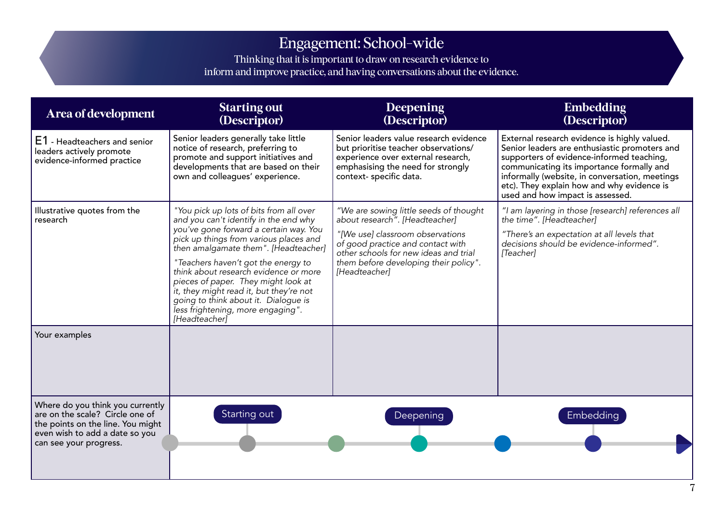## Engagement: School-wide

Thinking that it is important to draw on research evidence to inform and improve practice, and having conversations about the evidence.

| Area of development                                                                                                                                                  | <b>Starting out</b><br>(Descriptor)                                                                                                                                                                                                                                                                                                                                                      | Deepening<br>(Descriptor)                                                                                                                                                            | <b>Embedding</b><br>(Descriptor)                                                                                                                                                                                                                                                                                            |
|----------------------------------------------------------------------------------------------------------------------------------------------------------------------|------------------------------------------------------------------------------------------------------------------------------------------------------------------------------------------------------------------------------------------------------------------------------------------------------------------------------------------------------------------------------------------|--------------------------------------------------------------------------------------------------------------------------------------------------------------------------------------|-----------------------------------------------------------------------------------------------------------------------------------------------------------------------------------------------------------------------------------------------------------------------------------------------------------------------------|
| E1 - Headteachers and senior<br>leaders actively promote<br>evidence-informed practice                                                                               | Senior leaders generally take little<br>notice of research, preferring to<br>promote and support initiatives and<br>developments that are based on their<br>own and colleagues' experience.                                                                                                                                                                                              | Senior leaders value research evidence<br>but prioritise teacher observations/<br>experience over external research,<br>emphasising the need for strongly<br>context- specific data. | External research evidence is highly valued.<br>Senior leaders are enthusiastic promoters and<br>supporters of evidence-informed teaching,<br>communicating its importance formally and<br>informally (website, in conversation, meetings<br>etc). They explain how and why evidence is<br>used and how impact is assessed. |
| Illustrative quotes from the<br>research                                                                                                                             | "You pick up lots of bits from all over<br>and you can't identify in the end why                                                                                                                                                                                                                                                                                                         | "We are sowing little seeds of thought<br>about research". [Headteacher]                                                                                                             | "I am layering in those [research] references all<br>the time". [Headteacher]                                                                                                                                                                                                                                               |
|                                                                                                                                                                      | you've gone forward a certain way. You<br>pick up things from various places and<br>then amalgamate them". [Headteacher]<br>"Teachers haven't got the energy to<br>think about research evidence or more<br>pieces of paper. They might look at<br>it, they might read it, but they're not<br>going to think about it. Dialogue is<br>less frightening, more engaging".<br>[Headteacher] | "[We use] classroom observations<br>of good practice and contact with<br>other schools for new ideas and trial<br>them before developing their policy".<br>[Headteacher]             | "There's an expectation at all levels that<br>decisions should be evidence-informed".<br>[Teacher]                                                                                                                                                                                                                          |
| Your examples                                                                                                                                                        |                                                                                                                                                                                                                                                                                                                                                                                          |                                                                                                                                                                                      |                                                                                                                                                                                                                                                                                                                             |
| Where do you think you currently<br>are on the scale? Circle one of<br>the points on the line. You might<br>even wish to add a date so you<br>can see your progress. | Starting out                                                                                                                                                                                                                                                                                                                                                                             | Deepening                                                                                                                                                                            | Embedding                                                                                                                                                                                                                                                                                                                   |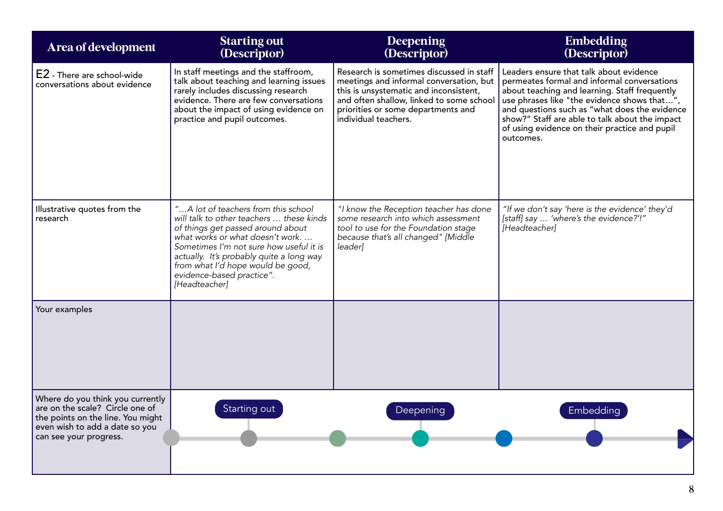| Area of development                                                                                                                                                  | <b>Starting out</b><br>(Descriptor)                                                                                                                                                                                                                                                                                               | <b>Deepening</b><br>(Descriptor)                                                                                                                                                                                                        | <b>Embedding</b><br>(Descriptor)                                                                                                                                                                                                                                                                                                                        |
|----------------------------------------------------------------------------------------------------------------------------------------------------------------------|-----------------------------------------------------------------------------------------------------------------------------------------------------------------------------------------------------------------------------------------------------------------------------------------------------------------------------------|-----------------------------------------------------------------------------------------------------------------------------------------------------------------------------------------------------------------------------------------|---------------------------------------------------------------------------------------------------------------------------------------------------------------------------------------------------------------------------------------------------------------------------------------------------------------------------------------------------------|
| E2 - There are school-wide<br>conversations about evidence                                                                                                           | In staff meetings and the staffroom,<br>talk about teaching and learning issues<br>rarely includes discussing research<br>evidence. There are few conversations<br>about the impact of using evidence on<br>practice and pupil outcomes.                                                                                          | Research is sometimes discussed in staff<br>meetings and informal conversation, but<br>this is unsystematic and inconsistent,<br>and often shallow, linked to some school<br>priorities or some departments and<br>individual teachers. | Leaders ensure that talk about evidence<br>permeates formal and informal conversations<br>about teaching and learning. Staff frequently<br>use phrases like "the evidence shows that",<br>and questions such as "what does the evidence<br>show?" Staff are able to talk about the impact<br>of using evidence on their practice and pupil<br>outcomes. |
| Illustrative quotes from the<br>research                                                                                                                             | "A lot of teachers from this school<br>will talk to other teachers  these kinds<br>of things get passed around about<br>what works or what doesn't work<br>Sometimes I'm not sure how useful it is<br>actually. It's probably quite a long way<br>from what I'd hope would be good,<br>evidence-based practice".<br>[Headteacher] | "I know the Reception teacher has done<br>some research into which assessment<br>tool to use for the Foundation stage<br>because that's all changed" [Middle<br>leader]                                                                 | "If we don't say 'here is the evidence' they'd<br>[staff] say  'where's the evidence?'!"<br>[Headteacher]                                                                                                                                                                                                                                               |
| Your examples                                                                                                                                                        |                                                                                                                                                                                                                                                                                                                                   |                                                                                                                                                                                                                                         |                                                                                                                                                                                                                                                                                                                                                         |
| Where do you think you currently<br>are on the scale? Circle one of<br>the points on the line. You might<br>even wish to add a date so you<br>can see your progress. | Starting out                                                                                                                                                                                                                                                                                                                      | Deepening                                                                                                                                                                                                                               | Embedding                                                                                                                                                                                                                                                                                                                                               |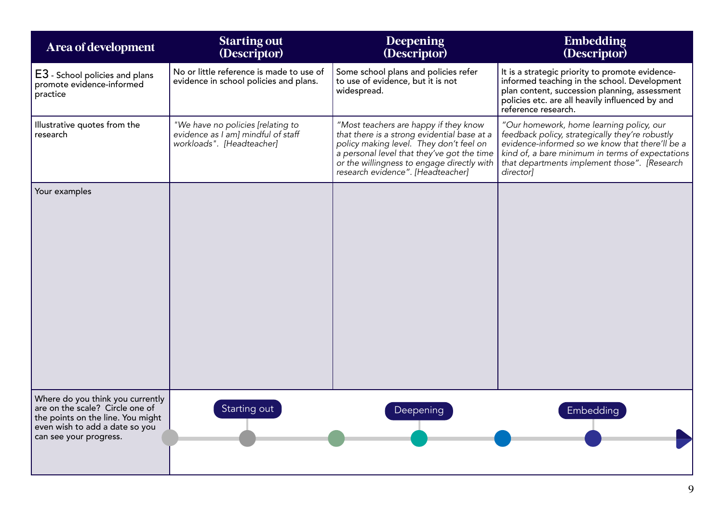| <b>Area of development</b>                                                                                                                                           | <b>Starting out</b><br>(Descriptor)                                                                  | Deepening<br>(Descriptor)                                                                                                                                                                                                                                        | <b>Embedding</b><br>(Descriptor)                                                                                                                                                                                                                                |
|----------------------------------------------------------------------------------------------------------------------------------------------------------------------|------------------------------------------------------------------------------------------------------|------------------------------------------------------------------------------------------------------------------------------------------------------------------------------------------------------------------------------------------------------------------|-----------------------------------------------------------------------------------------------------------------------------------------------------------------------------------------------------------------------------------------------------------------|
| E3 - School policies and plans<br>promote evidence-informed<br>practice                                                                                              | No or little reference is made to use of<br>evidence in school policies and plans.                   | Some school plans and policies refer<br>to use of evidence, but it is not<br>widespread.                                                                                                                                                                         | It is a strategic priority to promote evidence-<br>informed teaching in the school. Development<br>plan content, succession planning, assessment<br>policies etc. are all heavily influenced by and<br>reference research.                                      |
| Illustrative quotes from the<br>research                                                                                                                             | "We have no policies [relating to<br>evidence as I am] mindful of staff<br>workloads". [Headteacher] | "Most teachers are happy if they know<br>that there is a strong evidential base at a<br>policy making level. They don't feel on<br>a personal level that they've got the time<br>or the willingness to engage directly with<br>research evidence". [Headteacher] | "Our homework, home learning policy, our<br>feedback policy, strategically they're robustly<br>evidence-informed so we know that there'll be a<br>kind of, a bare minimum in terms of expectations<br>that departments implement those". [Research<br>director] |
| Your examples                                                                                                                                                        |                                                                                                      |                                                                                                                                                                                                                                                                  |                                                                                                                                                                                                                                                                 |
| Where do you think you currently<br>are on the scale? Circle one of<br>the points on the line. You might<br>even wish to add a date so you<br>can see your progress. | Starting out                                                                                         | <b>Deepening</b>                                                                                                                                                                                                                                                 | <b>Embedding</b>                                                                                                                                                                                                                                                |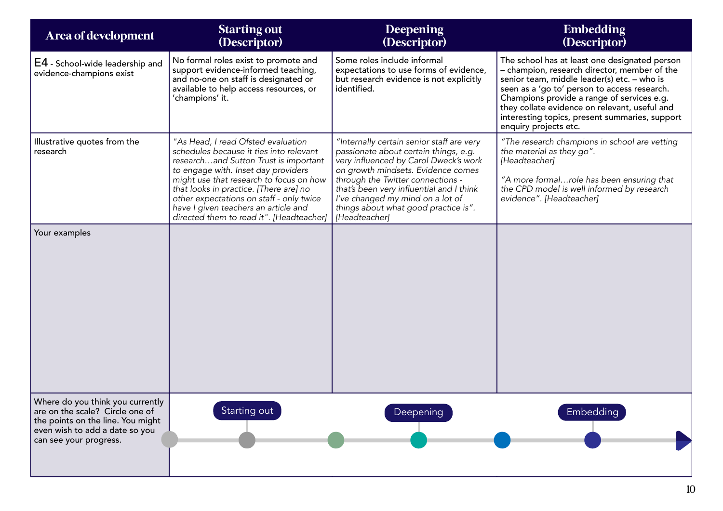| Area of development                                                                                                                                                  | <b>Starting out</b><br>(Descriptor)                                                                                                                                                                                                                                                                                                                                                | <b>Deepening</b><br>(Descriptor)                                                                                                                                                                                                                                                                                                                | <b>Embedding</b><br>(Descriptor)                                                                                                                                                                                                                                                                                                                                       |
|----------------------------------------------------------------------------------------------------------------------------------------------------------------------|------------------------------------------------------------------------------------------------------------------------------------------------------------------------------------------------------------------------------------------------------------------------------------------------------------------------------------------------------------------------------------|-------------------------------------------------------------------------------------------------------------------------------------------------------------------------------------------------------------------------------------------------------------------------------------------------------------------------------------------------|------------------------------------------------------------------------------------------------------------------------------------------------------------------------------------------------------------------------------------------------------------------------------------------------------------------------------------------------------------------------|
| E4 - School-wide leadership and<br>evidence-champions exist                                                                                                          | No formal roles exist to promote and<br>support evidence-informed teaching,<br>and no-one on staff is designated or<br>available to help access resources, or<br>'champions' it.                                                                                                                                                                                                   | Some roles include informal<br>expectations to use forms of evidence,<br>but research evidence is not explicitly<br>identified.                                                                                                                                                                                                                 | The school has at least one designated person<br>- champion, research director, member of the<br>senior team, middle leader(s) etc. - who is<br>seen as a 'go to' person to access research.<br>Champions provide a range of services e.g.<br>they collate evidence on relevant, useful and<br>interesting topics, present summaries, support<br>enquiry projects etc. |
| Illustrative quotes from the<br>research                                                                                                                             | "As Head, I read Ofsted evaluation<br>schedules because it ties into relevant<br>researchand Sutton Trust is important<br>to engage with. Inset day providers<br>might use that research to focus on how<br>that looks in practice. [There are] no<br>other expectations on staff - only twice<br>have I given teachers an article and<br>directed them to read it". [Headteacher] | "Internally certain senior staff are very<br>passionate about certain things, e.g.<br>very influenced by Carol Dweck's work<br>on growth mindsets. Evidence comes<br>through the Twitter connections -<br>that's been very influential and I think<br>I've changed my mind on a lot of<br>things about what good practice is".<br>[Headteacher] | "The research champions in school are vetting<br>the material as they go".<br>[Headteacher]<br>"A more formalrole has been ensuring that<br>the CPD model is well informed by research<br>evidence". [Headteacher]                                                                                                                                                     |
| Your examples                                                                                                                                                        |                                                                                                                                                                                                                                                                                                                                                                                    |                                                                                                                                                                                                                                                                                                                                                 |                                                                                                                                                                                                                                                                                                                                                                        |
| Where do you think you currently<br>are on the scale? Circle one of<br>the points on the line. You might<br>even wish to add a date so you<br>can see your progress. | Starting out                                                                                                                                                                                                                                                                                                                                                                       | Deepening                                                                                                                                                                                                                                                                                                                                       | <b>Embedding</b>                                                                                                                                                                                                                                                                                                                                                       |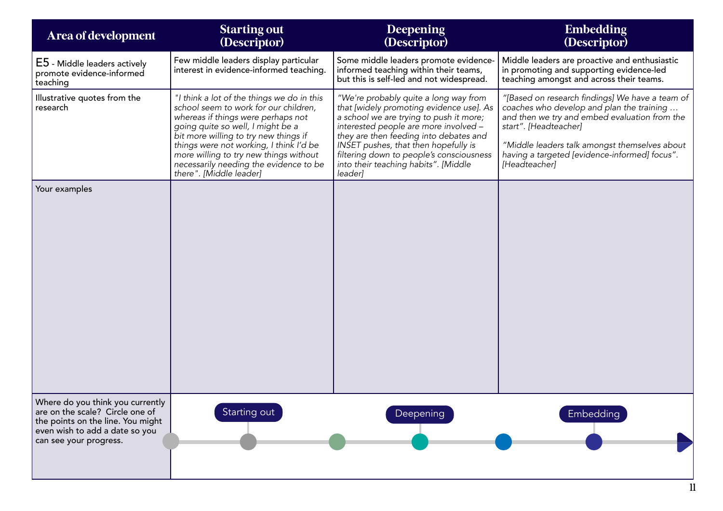| Area of development                                                                                                                                                  | <b>Starting out</b><br>(Descriptor)                                                                                                                                                                                                                                                                                                                               | <b>Deepening</b><br>(Descriptor)                                                                                                                                                                                                                                                                                                                       | <b>Embedding</b><br>(Descriptor)                                                                                                                                                                                                                                                          |
|----------------------------------------------------------------------------------------------------------------------------------------------------------------------|-------------------------------------------------------------------------------------------------------------------------------------------------------------------------------------------------------------------------------------------------------------------------------------------------------------------------------------------------------------------|--------------------------------------------------------------------------------------------------------------------------------------------------------------------------------------------------------------------------------------------------------------------------------------------------------------------------------------------------------|-------------------------------------------------------------------------------------------------------------------------------------------------------------------------------------------------------------------------------------------------------------------------------------------|
| E5 - Middle leaders actively<br>promote evidence-informed<br>teaching                                                                                                | Few middle leaders display particular<br>interest in evidence-informed teaching.                                                                                                                                                                                                                                                                                  | Some middle leaders promote evidence-<br>informed teaching within their teams,<br>but this is self-led and not widespread.                                                                                                                                                                                                                             | Middle leaders are proactive and enthusiastic<br>in promoting and supporting evidence-led<br>teaching amongst and across their teams.                                                                                                                                                     |
| Illustrative quotes from the<br>research                                                                                                                             | "I think a lot of the things we do in this<br>school seem to work for our children,<br>whereas if things were perhaps not<br>going quite so well, I might be a<br>bit more willing to try new things if<br>things were not working, I think I'd be<br>more willing to try new things without<br>necessarily needing the evidence to be<br>there". [Middle leader] | "We're probably quite a long way from<br>that [widely promoting evidence use]. As<br>a school we are trying to push it more;<br>interested people are more involved -<br>they are then feeding into debates and<br>INSET pushes, that then hopefully is<br>filtering down to people's consciousness<br>into their teaching habits". [Middle<br>leader] | "[Based on research findings] We have a team of<br>coaches who develop and plan the training<br>and then we try and embed evaluation from the<br>start". [Headteacher]<br>"Middle leaders talk amongst themselves about<br>having a targeted [evidence-informed] focus".<br>[Headteacher] |
| Your examples                                                                                                                                                        |                                                                                                                                                                                                                                                                                                                                                                   |                                                                                                                                                                                                                                                                                                                                                        |                                                                                                                                                                                                                                                                                           |
| Where do you think you currently<br>are on the scale? Circle one of<br>the points on the line. You might<br>even wish to add a date so you<br>can see your progress. | Starting out                                                                                                                                                                                                                                                                                                                                                      | Deepening                                                                                                                                                                                                                                                                                                                                              | <b>Embedding</b>                                                                                                                                                                                                                                                                          |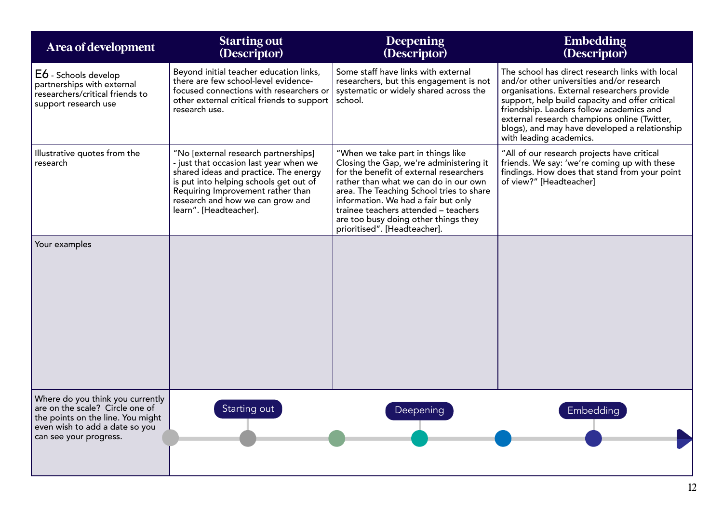| Area of development                                                                                                                                                  | <b>Starting out</b><br>(Descriptor)                                                                                                                                                                                                                                  | <b>Deepening</b><br>(Descriptor)                                                                                                                                                                                                                                                                                                                                    | <b>Embedding</b><br>(Descriptor)                                                                                                                                                                                                                                                                                                                                       |
|----------------------------------------------------------------------------------------------------------------------------------------------------------------------|----------------------------------------------------------------------------------------------------------------------------------------------------------------------------------------------------------------------------------------------------------------------|---------------------------------------------------------------------------------------------------------------------------------------------------------------------------------------------------------------------------------------------------------------------------------------------------------------------------------------------------------------------|------------------------------------------------------------------------------------------------------------------------------------------------------------------------------------------------------------------------------------------------------------------------------------------------------------------------------------------------------------------------|
| E6 - Schools develop<br>partnerships with external<br>researchers/critical friends to<br>support research use                                                        | Beyond initial teacher education links,<br>there are few school-level evidence-<br>focused connections with researchers or<br>other external critical friends to support<br>research use.                                                                            | Some staff have links with external<br>researchers, but this engagement is not<br>systematic or widely shared across the<br>school.                                                                                                                                                                                                                                 | The school has direct research links with local<br>and/or other universities and/or research<br>organisations. External researchers provide<br>support, help build capacity and offer critical<br>friendship. Leaders follow academics and<br>external research champions online (Twitter,<br>blogs), and may have developed a relationship<br>with leading academics. |
| Illustrative quotes from the<br>research                                                                                                                             | "No [external research partnerships]<br>- just that occasion last year when we<br>shared ideas and practice. The energy<br>is put into helping schools get out of<br>Requiring Improvement rather than<br>research and how we can grow and<br>learn". [Headteacher]. | "When we take part in things like<br>Closing the Gap, we're administering it<br>for the benefit of external researchers<br>rather than what we can do in our own<br>area. The Teaching School tries to share<br>information. We had a fair but only<br>trainee teachers attended - teachers<br>are too busy doing other things they<br>prioritised". [Headteacher]. | "All of our research projects have critical<br>friends. We say: 'we're coming up with these<br>findings. How does that stand from your point<br>of view?" [Headteacher]                                                                                                                                                                                                |
| Your examples                                                                                                                                                        |                                                                                                                                                                                                                                                                      |                                                                                                                                                                                                                                                                                                                                                                     |                                                                                                                                                                                                                                                                                                                                                                        |
| Where do you think you currently<br>are on the scale? Circle one of<br>the points on the line. You might<br>even wish to add a date so you<br>can see your progress. | Starting out                                                                                                                                                                                                                                                         | Deepening                                                                                                                                                                                                                                                                                                                                                           | Embedding                                                                                                                                                                                                                                                                                                                                                              |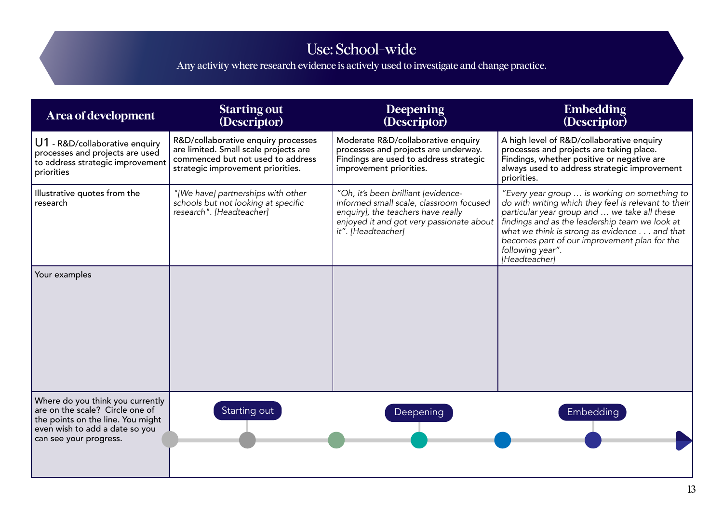## Use: School-wide

Any activity where research evidence is actively used to investigate and change practice.

| Area of development                                                                                                                                                  | <b>Starting out</b><br>(Descriptor)                                                                                                                    | <b>Deepening</b><br>(Descriptor)                                                                                                                                                       | <b>Embedding</b><br>(Descriptor)                                                                                                                                                                                                                                                                                                             |
|----------------------------------------------------------------------------------------------------------------------------------------------------------------------|--------------------------------------------------------------------------------------------------------------------------------------------------------|----------------------------------------------------------------------------------------------------------------------------------------------------------------------------------------|----------------------------------------------------------------------------------------------------------------------------------------------------------------------------------------------------------------------------------------------------------------------------------------------------------------------------------------------|
| U1 - R&D/collaborative enquiry<br>processes and projects are used<br>to address strategic improvement<br>priorities                                                  | R&D/collaborative enquiry processes<br>are limited. Small scale projects are<br>commenced but not used to address<br>strategic improvement priorities. | Moderate R&D/collaborative enquiry<br>processes and projects are underway.<br>Findings are used to address strategic<br>improvement priorities.                                        | A high level of R&D/collaborative enquiry<br>processes and projects are taking place.<br>Findings, whether positive or negative are<br>always used to address strategic improvement<br>priorities.                                                                                                                                           |
| Illustrative quotes from the<br>research                                                                                                                             | "[We have] partnerships with other<br>schools but not looking at specific<br>research". [Headteacher]                                                  | "Oh, it's been brilliant [evidence-<br>informed small scale, classroom focused<br>enquiry], the teachers have really<br>enjoyed it and got very passionate about<br>it". [Headteacher] | "Every year group  is working on something to<br>do with writing which they feel is relevant to their<br>particular year group and  we take all these<br>findings and as the leadership team we look at<br>what we think is strong as evidence and that<br>becomes part of our improvement plan for the<br>following year".<br>[Headteacher] |
| Your examples                                                                                                                                                        |                                                                                                                                                        |                                                                                                                                                                                        |                                                                                                                                                                                                                                                                                                                                              |
| Where do you think you currently<br>are on the scale? Circle one of<br>the points on the line. You might<br>even wish to add a date so you<br>can see your progress. | Starting out                                                                                                                                           | Deepening                                                                                                                                                                              | Embedding                                                                                                                                                                                                                                                                                                                                    |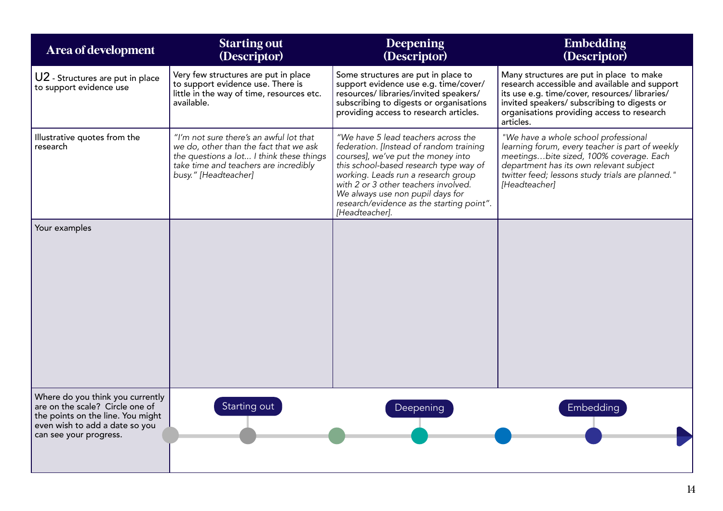| Area of development                                                                                                                                                  | <b>Starting out</b><br>(Descriptor)                                                                                                                                                            | <b>Deepening</b><br>(Descriptor)                                                                                                                                                                                                                                                                                                                 | <b>Embedding</b><br>(Descriptor)                                                                                                                                                                                                                     |
|----------------------------------------------------------------------------------------------------------------------------------------------------------------------|------------------------------------------------------------------------------------------------------------------------------------------------------------------------------------------------|--------------------------------------------------------------------------------------------------------------------------------------------------------------------------------------------------------------------------------------------------------------------------------------------------------------------------------------------------|------------------------------------------------------------------------------------------------------------------------------------------------------------------------------------------------------------------------------------------------------|
| U2 - Structures are put in place<br>to support evidence use                                                                                                          | Very few structures are put in place<br>to support evidence use. There is<br>little in the way of time, resources etc.<br>available.                                                           | Some structures are put in place to<br>support evidence use e.g. time/cover/<br>resources/ libraries/invited speakers/<br>subscribing to digests or organisations<br>providing access to research articles.                                                                                                                                      | Many structures are put in place to make<br>research accessible and available and support<br>its use e.g. time/cover, resources/libraries/<br>invited speakers/ subscribing to digests or<br>organisations providing access to research<br>articles. |
| Illustrative quotes from the<br>research                                                                                                                             | "I'm not sure there's an awful lot that<br>we do, other than the fact that we ask<br>the questions a lot I think these things<br>take time and teachers are incredibly<br>busy." [Headteacher] | "We have 5 lead teachers across the<br>federation. [Instead of random training<br>courses], we've put the money into<br>this school-based research type way of<br>working. Leads run a research group<br>with 2 or 3 other teachers involved.<br>We always use non pupil days for<br>research/evidence as the starting point".<br>[Headteacher]. | "We have a whole school professional<br>learning forum, every teacher is part of weekly<br>meetingsbite sized, 100% coverage. Each<br>department has its own relevant subject<br>twitter feed; lessons study trials are planned."<br>[Headteacher]   |
| Your examples                                                                                                                                                        |                                                                                                                                                                                                |                                                                                                                                                                                                                                                                                                                                                  |                                                                                                                                                                                                                                                      |
| Where do you think you currently<br>are on the scale? Circle one of<br>the points on the line. You might<br>even wish to add a date so you<br>can see your progress. | Starting out                                                                                                                                                                                   | Deepening                                                                                                                                                                                                                                                                                                                                        | Embedding                                                                                                                                                                                                                                            |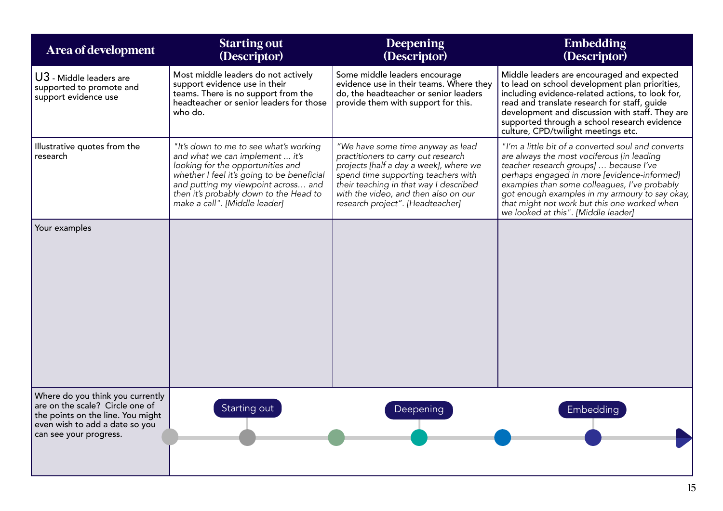| Area of development                                                                                                                                                  | <b>Starting out</b><br>(Descriptor)                                                                                                                                                                                                                                            | Deepening<br>(Descriptor)                                                                                                                                                                                                                                                       | <b>Embedding</b><br>(Descriptor)                                                                                                                                                                                                                                                                                                                                                   |
|----------------------------------------------------------------------------------------------------------------------------------------------------------------------|--------------------------------------------------------------------------------------------------------------------------------------------------------------------------------------------------------------------------------------------------------------------------------|---------------------------------------------------------------------------------------------------------------------------------------------------------------------------------------------------------------------------------------------------------------------------------|------------------------------------------------------------------------------------------------------------------------------------------------------------------------------------------------------------------------------------------------------------------------------------------------------------------------------------------------------------------------------------|
| U3 - Middle leaders are<br>supported to promote and<br>support evidence use                                                                                          | Most middle leaders do not actively<br>support evidence use in their<br>teams. There is no support from the<br>headteacher or senior leaders for those<br>who do.                                                                                                              | Some middle leaders encourage<br>evidence use in their teams. Where they<br>do, the headteacher or senior leaders<br>provide them with support for this.                                                                                                                        | Middle leaders are encouraged and expected<br>to lead on school development plan priorities,<br>including evidence-related actions, to look for,<br>read and translate research for staff, guide<br>development and discussion with staff. They are<br>supported through a school research evidence<br>culture, CPD/twilight meetings etc.                                         |
| Illustrative quotes from the<br>research                                                                                                                             | "It's down to me to see what's working<br>and what we can implement  it's<br>looking for the opportunities and<br>whether I feel it's going to be beneficial<br>and putting my viewpoint across and<br>then it's probably down to the Head to<br>make a call". [Middle leader] | "We have some time anyway as lead<br>practitioners to carry out research<br>projects [half a day a week], where we<br>spend time supporting teachers with<br>their teaching in that way I described<br>with the video, and then also on our<br>research project". [Headteacher] | "I'm a little bit of a converted soul and converts<br>are always the most vociferous [in leading<br>teacher research groups]  because I've<br>perhaps engaged in more [evidence-informed]<br>examples than some colleagues, I've probably<br>got enough examples in my armoury to say okay,<br>that might not work but this one worked when<br>we looked at this". [Middle leader] |
| Your examples                                                                                                                                                        |                                                                                                                                                                                                                                                                                |                                                                                                                                                                                                                                                                                 |                                                                                                                                                                                                                                                                                                                                                                                    |
| Where do you think you currently<br>are on the scale? Circle one of<br>the points on the line. You might<br>even wish to add a date so you<br>can see your progress. | Starting out                                                                                                                                                                                                                                                                   | Deepening                                                                                                                                                                                                                                                                       | Embedding                                                                                                                                                                                                                                                                                                                                                                          |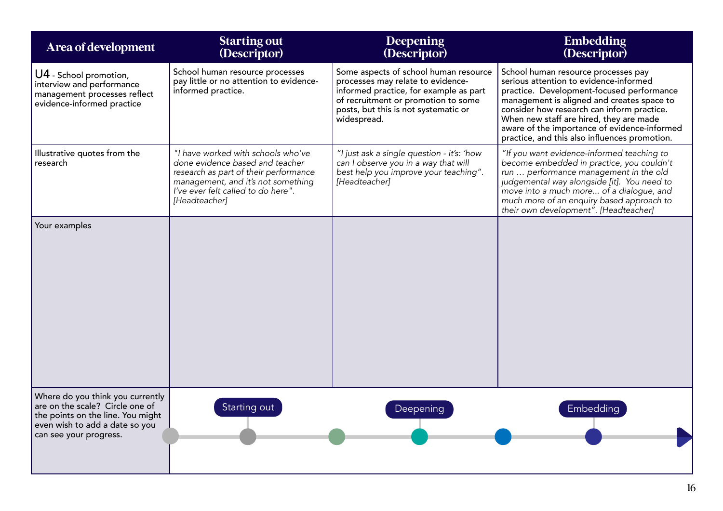| Area of development                                                                                                                                                  | <b>Starting out</b><br>(Descriptor)                                                                                                                                                                         | Deepening<br>(Descriptor)                                                                                                                                                                                          | <b>Embedding</b><br>(Descriptor)                                                                                                                                                                                                                                                                                                                                   |
|----------------------------------------------------------------------------------------------------------------------------------------------------------------------|-------------------------------------------------------------------------------------------------------------------------------------------------------------------------------------------------------------|--------------------------------------------------------------------------------------------------------------------------------------------------------------------------------------------------------------------|--------------------------------------------------------------------------------------------------------------------------------------------------------------------------------------------------------------------------------------------------------------------------------------------------------------------------------------------------------------------|
| U4 - School promotion,<br>interview and performance<br>management processes reflect<br>evidence-informed practice                                                    | School human resource processes<br>pay little or no attention to evidence-<br>informed practice.                                                                                                            | Some aspects of school human resource<br>processes may relate to evidence-<br>informed practice, for example as part<br>of recruitment or promotion to some<br>posts, but this is not systematic or<br>widespread. | School human resource processes pay<br>serious attention to evidence-informed<br>practice. Development-focused performance<br>management is aligned and creates space to<br>consider how research can inform practice.<br>When new staff are hired, they are made<br>aware of the importance of evidence-informed<br>practice, and this also influences promotion. |
| Illustrative quotes from the<br>research                                                                                                                             | "I have worked with schools who've<br>done evidence based and teacher<br>research as part of their performance<br>management, and it's not something<br>I've ever felt called to do here".<br>[Headteacher] | "I just ask a single question - it's: 'how<br>can I observe you in a way that will<br>best help you improve your teaching".<br>[Headteacher]                                                                       | "If you want evidence-informed teaching to<br>become embedded in practice, you couldn't<br>run  performance management in the old<br>judgemental way alongside [it]. You need to<br>move into a much more of a dialogue, and<br>much more of an enquiry based approach to<br>their own development". [Headteacher]                                                 |
| Your examples                                                                                                                                                        |                                                                                                                                                                                                             |                                                                                                                                                                                                                    |                                                                                                                                                                                                                                                                                                                                                                    |
| Where do you think you currently<br>are on the scale? Circle one of<br>the points on the line. You might<br>even wish to add a date so you<br>can see your progress. | Starting out                                                                                                                                                                                                | Deepening                                                                                                                                                                                                          | Embedding                                                                                                                                                                                                                                                                                                                                                          |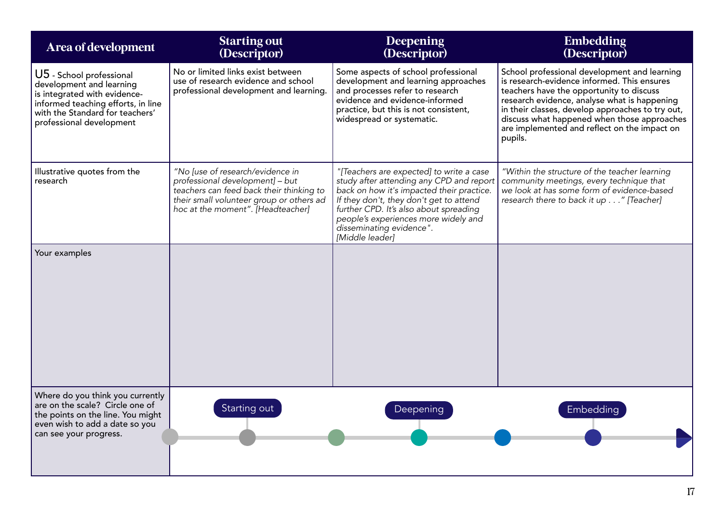| Area of development                                                                                                                                                                       | <b>Starting out</b><br>(Descriptor)                                                                                                                                                              | Deepening<br>(Descriptor)                                                                                                                                                                                                                                                                                     | <b>Embedding</b><br>(Descriptor)                                                                                                                                                                                                                                                                                                                      |
|-------------------------------------------------------------------------------------------------------------------------------------------------------------------------------------------|--------------------------------------------------------------------------------------------------------------------------------------------------------------------------------------------------|---------------------------------------------------------------------------------------------------------------------------------------------------------------------------------------------------------------------------------------------------------------------------------------------------------------|-------------------------------------------------------------------------------------------------------------------------------------------------------------------------------------------------------------------------------------------------------------------------------------------------------------------------------------------------------|
| U5 - School professional<br>development and learning<br>is integrated with evidence-<br>informed teaching efforts, in line<br>with the Standard for teachers'<br>professional development | No or limited links exist between<br>use of research evidence and school<br>professional development and learning.                                                                               | Some aspects of school professional<br>development and learning approaches<br>and processes refer to research<br>evidence and evidence-informed<br>practice, but this is not consistent,<br>widespread or systematic.                                                                                         | School professional development and learning<br>is research-evidence informed. This ensures<br>teachers have the opportunity to discuss<br>research evidence, analyse what is happening<br>in their classes, develop approaches to try out,<br>discuss what happened when those approaches<br>are implemented and reflect on the impact on<br>pupils. |
| Illustrative quotes from the<br>research                                                                                                                                                  | "No [use of research/evidence in<br>professional development] - but<br>teachers can feed back their thinking to<br>their small volunteer group or others ad<br>hoc at the moment". [Headteacher] | "[Teachers are expected] to write a case<br>study after attending any CPD and report<br>back on how it's impacted their practice.<br>If they don't, they don't get to attend<br>further CPD. It's also about spreading<br>people's experiences more widely and<br>disseminating evidence".<br>[Middle leader] | "Within the structure of the teacher learning<br>community meetings, every technique that<br>we look at has some form of evidence-based<br>research there to back it up " [Teacher]                                                                                                                                                                   |
| Your examples                                                                                                                                                                             |                                                                                                                                                                                                  |                                                                                                                                                                                                                                                                                                               |                                                                                                                                                                                                                                                                                                                                                       |
| Where do you think you currently<br>are on the scale? Circle one of<br>the points on the line. You might<br>even wish to add a date so you<br>can see your progress.                      | Starting out                                                                                                                                                                                     | Deepening                                                                                                                                                                                                                                                                                                     | Embedding                                                                                                                                                                                                                                                                                                                                             |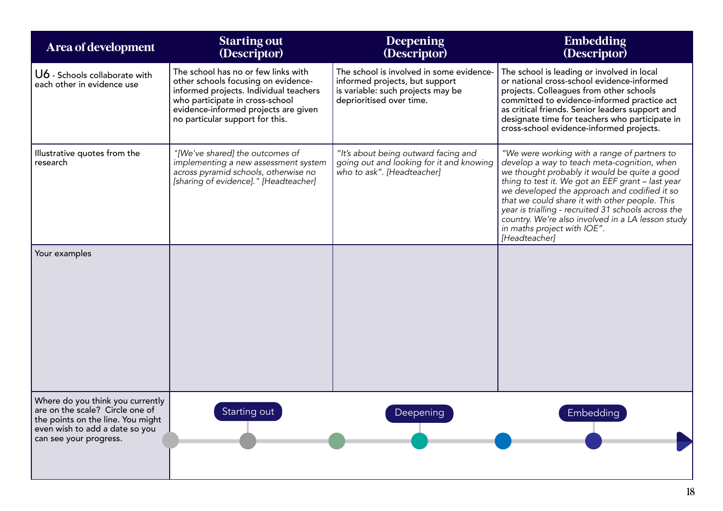| Area of development                                                                                                                                                  | <b>Starting out</b><br>(Descriptor)                                                                                                                                                                                                | Deepening<br>(Descriptor)                                                                                                                   | <b>Embedding</b><br>(Descriptor)                                                                                                                                                                                                                                                                                                                                                                                                                               |
|----------------------------------------------------------------------------------------------------------------------------------------------------------------------|------------------------------------------------------------------------------------------------------------------------------------------------------------------------------------------------------------------------------------|---------------------------------------------------------------------------------------------------------------------------------------------|----------------------------------------------------------------------------------------------------------------------------------------------------------------------------------------------------------------------------------------------------------------------------------------------------------------------------------------------------------------------------------------------------------------------------------------------------------------|
| U6 - Schools collaborate with<br>each other in evidence use                                                                                                          | The school has no or few links with<br>other schools focusing on evidence-<br>informed projects. Individual teachers<br>who participate in cross-school<br>evidence-informed projects are given<br>no particular support for this. | The school is involved in some evidence-<br>informed projects, but support<br>is variable: such projects may be<br>deprioritised over time. | The school is leading or involved in local<br>or national cross-school evidence-informed<br>projects. Colleagues from other schools<br>committed to evidence-informed practice act<br>as critical friends. Senior leaders support and<br>designate time for teachers who participate in<br>cross-school evidence-informed projects.                                                                                                                            |
| Illustrative quotes from the<br>research                                                                                                                             | "[We've shared] the outcomes of<br>implementing a new assessment system<br>across pyramid schools, otherwise no<br>[sharing of evidence]." [Headteacher]                                                                           | "It's about being outward facing and<br>going out and looking for it and knowing<br>who to ask". [Headteacher]                              | "We were working with a range of partners to<br>develop a way to teach meta-cognition, when<br>we thought probably it would be quite a good<br>thing to test it. We got an EEF grant - last year<br>we developed the approach and codified it so<br>that we could share it with other people. This<br>year is trialling - recruited 31 schools across the<br>country. We're also involved in a LA lesson study<br>in maths project with IOE".<br>[Headteacher] |
| Your examples                                                                                                                                                        |                                                                                                                                                                                                                                    |                                                                                                                                             |                                                                                                                                                                                                                                                                                                                                                                                                                                                                |
| Where do you think you currently<br>are on the scale? Circle one of<br>the points on the line. You might<br>even wish to add a date so you<br>can see your progress. | Starting out                                                                                                                                                                                                                       | Deepening                                                                                                                                   | Embedding                                                                                                                                                                                                                                                                                                                                                                                                                                                      |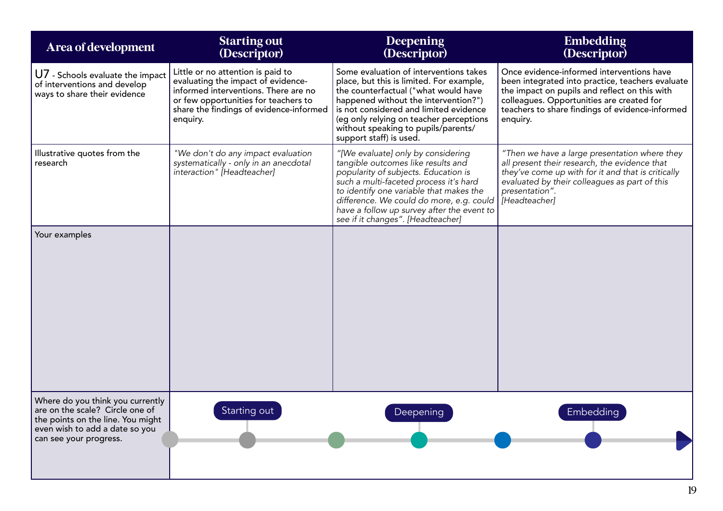| Area of development                                                                                                                                                  | <b>Starting out</b><br>(Descriptor)                                                                                                                                                                            | Deepening<br>(Descriptor)                                                                                                                                                                                                                                                                                                                            | <b>Embedding</b><br>(Descriptor)                                                                                                                                                                                                                           |
|----------------------------------------------------------------------------------------------------------------------------------------------------------------------|----------------------------------------------------------------------------------------------------------------------------------------------------------------------------------------------------------------|------------------------------------------------------------------------------------------------------------------------------------------------------------------------------------------------------------------------------------------------------------------------------------------------------------------------------------------------------|------------------------------------------------------------------------------------------------------------------------------------------------------------------------------------------------------------------------------------------------------------|
| U7 - Schools evaluate the impact<br>of interventions and develop<br>ways to share their evidence                                                                     | Little or no attention is paid to<br>evaluating the impact of evidence-<br>informed interventions. There are no<br>or few opportunities for teachers to<br>share the findings of evidence-informed<br>enquiry. | Some evaluation of interventions takes<br>place, but this is limited. For example,<br>the counterfactual ("what would have<br>happened without the intervention?")<br>is not considered and limited evidence<br>(eg only relying on teacher perceptions<br>without speaking to pupils/parents/<br>support staff) is used.                            | Once evidence-informed interventions have<br>been integrated into practice, teachers evaluate<br>the impact on pupils and reflect on this with<br>colleagues. Opportunities are created for<br>teachers to share findings of evidence-informed<br>enquiry. |
| Illustrative quotes from the<br>research                                                                                                                             | "We don't do any impact evaluation<br>systematically - only in an anecdotal<br>interaction" [Headteacher]                                                                                                      | "[We evaluate] only by considering<br>tangible outcomes like results and<br>popularity of subjects. Education is<br>such a multi-faceted process it's hard<br>to identify one variable that makes the<br>difference. We could do more, e.g. could   [Headteacher]<br>have a follow up survey after the event to<br>see if it changes". [Headteacher] | "Then we have a large presentation where they<br>all present their research, the evidence that<br>they've come up with for it and that is critically<br>evaluated by their colleagues as part of this<br>presentation".                                    |
| Your examples                                                                                                                                                        |                                                                                                                                                                                                                |                                                                                                                                                                                                                                                                                                                                                      |                                                                                                                                                                                                                                                            |
| Where do you think you currently<br>are on the scale? Circle one of<br>the points on the line. You might<br>even wish to add a date so you<br>can see your progress. | Starting out                                                                                                                                                                                                   | Deepening                                                                                                                                                                                                                                                                                                                                            | Embedding                                                                                                                                                                                                                                                  |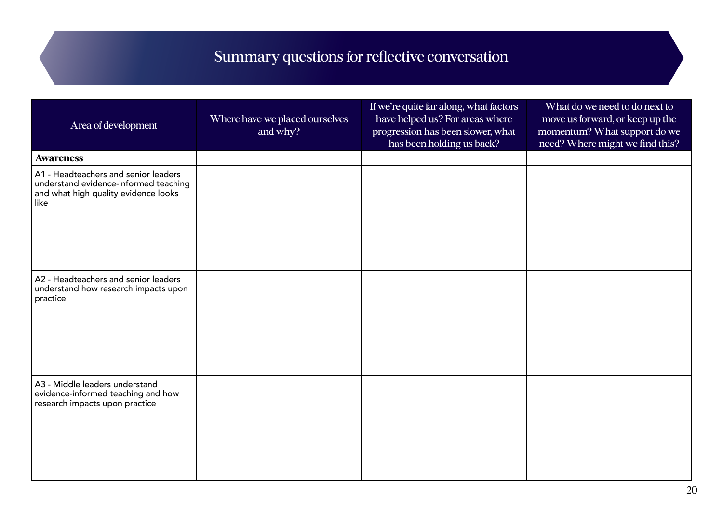# Summary questions for reflective conversation

| Area of development                                                                                                           | Where have we placed ourselves<br>and why? | If we're quite far along, what factors<br>have helped us? For areas where<br>progression has been slower, what<br>has been holding us back? | What do we need to do next to<br>move us forward, or keep up the<br>momentum? What support do we<br>need? Where might we find this? |
|-------------------------------------------------------------------------------------------------------------------------------|--------------------------------------------|---------------------------------------------------------------------------------------------------------------------------------------------|-------------------------------------------------------------------------------------------------------------------------------------|
| <b>Awareness</b>                                                                                                              |                                            |                                                                                                                                             |                                                                                                                                     |
| A1 - Headteachers and senior leaders<br>understand evidence-informed teaching<br>and what high quality evidence looks<br>like |                                            |                                                                                                                                             |                                                                                                                                     |
| A2 - Headteachers and senior leaders<br>understand how research impacts upon<br>practice                                      |                                            |                                                                                                                                             |                                                                                                                                     |
| A3 - Middle leaders understand<br>evidence-informed teaching and how<br>research impacts upon practice                        |                                            |                                                                                                                                             |                                                                                                                                     |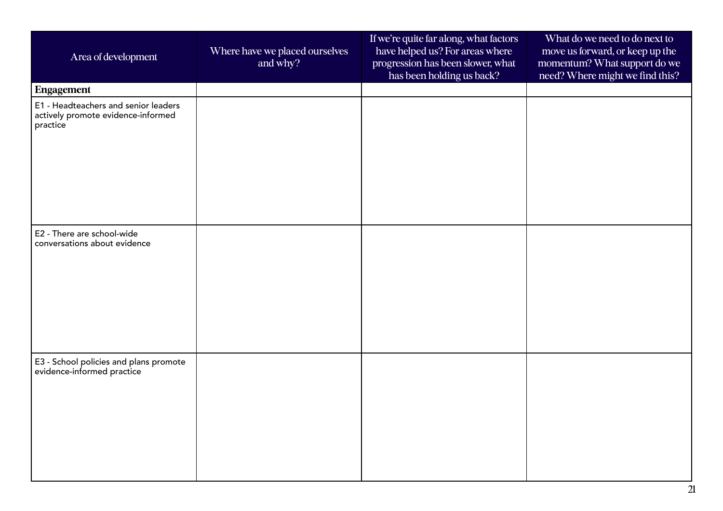| Area of development                                                                    | Where have we placed ourselves<br>and why? | If we're quite far along, what factors<br>have helped us? For areas where<br>progression has been slower, what<br>has been holding us back? | What do we need to do next to<br>move us forward, or keep up the<br>momentum? What support do we<br>need? Where might we find this? |
|----------------------------------------------------------------------------------------|--------------------------------------------|---------------------------------------------------------------------------------------------------------------------------------------------|-------------------------------------------------------------------------------------------------------------------------------------|
| Engagement                                                                             |                                            |                                                                                                                                             |                                                                                                                                     |
| E1 - Headteachers and senior leaders<br>actively promote evidence-informed<br>practice |                                            |                                                                                                                                             |                                                                                                                                     |
| E2 - There are school-wide<br>conversations about evidence                             |                                            |                                                                                                                                             |                                                                                                                                     |
| E3 - School policies and plans promote<br>evidence-informed practice                   |                                            |                                                                                                                                             |                                                                                                                                     |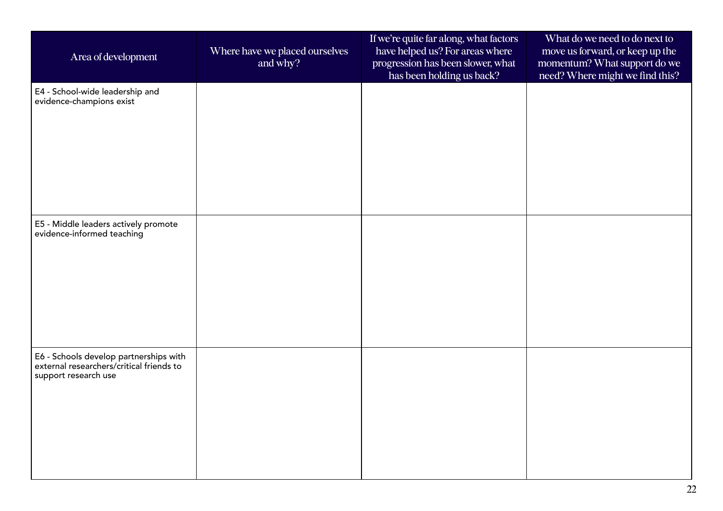| Area of development                                                                                        | Where have we placed ourselves<br>and why? | If we're quite far along, what factors<br>have helped us? For areas where<br>progression has been slower, what<br>has been holding us back? | What do we need to do next to<br>move us forward, or keep up the<br>momentum? What support do we<br>need? Where might we find this? |
|------------------------------------------------------------------------------------------------------------|--------------------------------------------|---------------------------------------------------------------------------------------------------------------------------------------------|-------------------------------------------------------------------------------------------------------------------------------------|
| E4 - School-wide leadership and<br>evidence-champions exist                                                |                                            |                                                                                                                                             |                                                                                                                                     |
| E5 - Middle leaders actively promote<br>evidence-informed teaching                                         |                                            |                                                                                                                                             |                                                                                                                                     |
| E6 - Schools develop partnerships with<br>external researchers/critical friends to<br>support research use |                                            |                                                                                                                                             |                                                                                                                                     |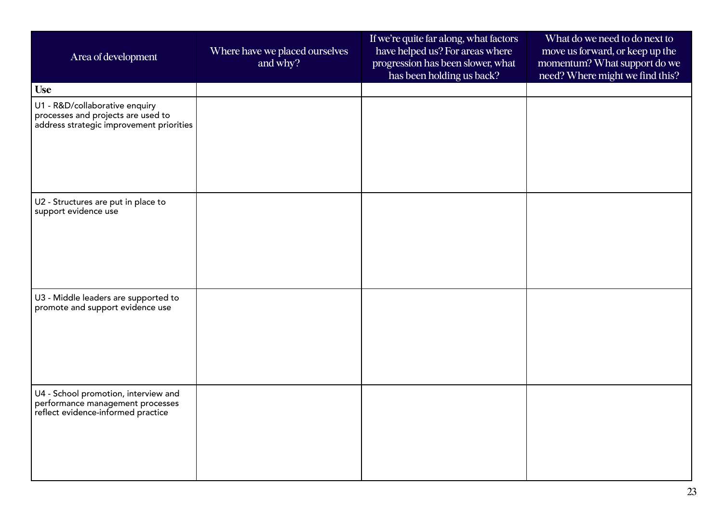| Area of development                                                                                              | Where have we placed ourselves<br>and why? | If we're quite far along, what factors<br>have helped us? For areas where<br>progression has been slower, what<br>has been holding us back? | What do we need to do next to<br>move us forward, or keep up the<br>momentum? What support do we<br>need? Where might we find this? |
|------------------------------------------------------------------------------------------------------------------|--------------------------------------------|---------------------------------------------------------------------------------------------------------------------------------------------|-------------------------------------------------------------------------------------------------------------------------------------|
| <b>Use</b>                                                                                                       |                                            |                                                                                                                                             |                                                                                                                                     |
| U1 - R&D/collaborative enquiry<br>processes and projects are used to<br>address strategic improvement priorities |                                            |                                                                                                                                             |                                                                                                                                     |
| U2 - Structures are put in place to<br>support evidence use                                                      |                                            |                                                                                                                                             |                                                                                                                                     |
| U3 - Middle leaders are supported to<br>promote and support evidence use                                         |                                            |                                                                                                                                             |                                                                                                                                     |
| U4 - School promotion, interview and<br>performance management processes<br>reflect evidence-informed practice   |                                            |                                                                                                                                             |                                                                                                                                     |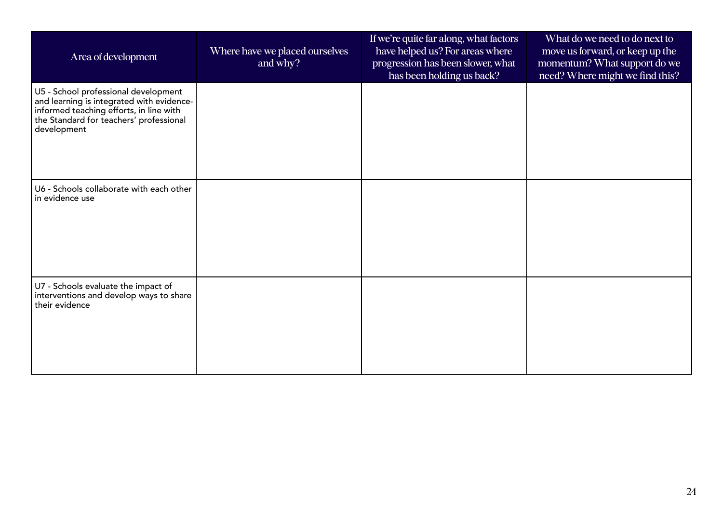| Area of development                                                                                                                                                                    | Where have we placed ourselves<br>and why? | If we're quite far along, what factors<br>have helped us? For areas where<br>progression has been slower, what<br>has been holding us back? | What do we need to do next to<br>move us forward, or keep up the<br>momentum? What support do we<br>need? Where might we find this? |
|----------------------------------------------------------------------------------------------------------------------------------------------------------------------------------------|--------------------------------------------|---------------------------------------------------------------------------------------------------------------------------------------------|-------------------------------------------------------------------------------------------------------------------------------------|
| U5 - School professional development<br>and learning is integrated with evidence-<br>informed teaching efforts, in line with<br>the Standard for teachers' professional<br>development |                                            |                                                                                                                                             |                                                                                                                                     |
| U6 - Schools collaborate with each other<br>in evidence use                                                                                                                            |                                            |                                                                                                                                             |                                                                                                                                     |
| U7 - Schools evaluate the impact of<br>interventions and develop ways to share<br>their evidence                                                                                       |                                            |                                                                                                                                             |                                                                                                                                     |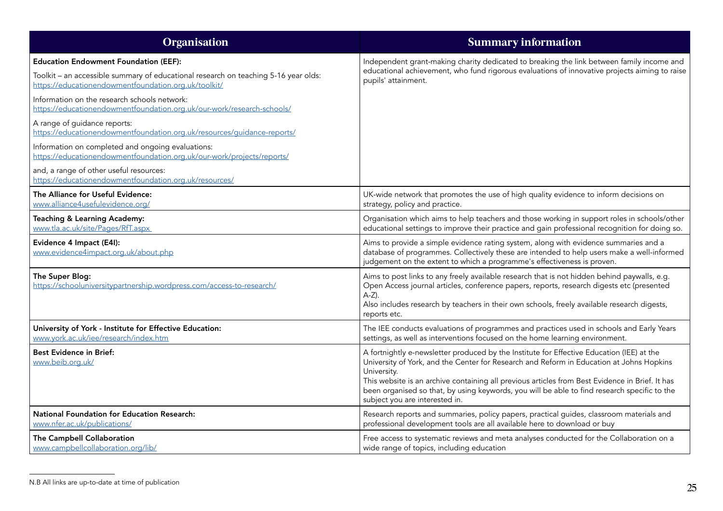| Organisation                                                                                                                                                                                | <b>Summary information</b>                                                                                                                                                                                                                                                                                                                                                                                                                |
|---------------------------------------------------------------------------------------------------------------------------------------------------------------------------------------------|-------------------------------------------------------------------------------------------------------------------------------------------------------------------------------------------------------------------------------------------------------------------------------------------------------------------------------------------------------------------------------------------------------------------------------------------|
| <b>Education Endowment Foundation (EEF):</b><br>Toolkit - an accessible summary of educational research on teaching 5-16 year olds:<br>https://educationendowmentfoundation.org.uk/toolkit/ | Independent grant-making charity dedicated to breaking the link between family income and<br>educational achievement, who fund rigorous evaluations of innovative projects aiming to raise<br>pupils' attainment.                                                                                                                                                                                                                         |
| Information on the research schools network:<br>https://educationendowmentfoundation.org.uk/our-work/research-schools/                                                                      |                                                                                                                                                                                                                                                                                                                                                                                                                                           |
| A range of guidance reports:<br>https://educationendowmentfoundation.org.uk/resources/guidance-reports/                                                                                     |                                                                                                                                                                                                                                                                                                                                                                                                                                           |
| Information on completed and ongoing evaluations:<br>https://educationendowmentfoundation.org.uk/our-work/projects/reports/                                                                 |                                                                                                                                                                                                                                                                                                                                                                                                                                           |
| and, a range of other useful resources:<br>https://educationendowmentfoundation.org.uk/resources/                                                                                           |                                                                                                                                                                                                                                                                                                                                                                                                                                           |
| The Alliance for Useful Evidence:<br>www.alliance4usefulevidence.org/                                                                                                                       | UK-wide network that promotes the use of high quality evidence to inform decisions on<br>strategy, policy and practice.                                                                                                                                                                                                                                                                                                                   |
| Teaching & Learning Academy:<br>www.tla.ac.uk/site/Pages/RfT.aspx                                                                                                                           | Organisation which aims to help teachers and those working in support roles in schools/other<br>educational settings to improve their practice and gain professional recognition for doing so.                                                                                                                                                                                                                                            |
| Evidence 4 Impact (E4I):<br>www.evidence4impact.org.uk/about.php                                                                                                                            | Aims to provide a simple evidence rating system, along with evidence summaries and a<br>database of programmes. Collectively these are intended to help users make a well-informed<br>judgement on the extent to which a programme's effectiveness is proven.                                                                                                                                                                             |
| The Super Blog:<br>https://schooluniversitypartnership.wordpress.com/access-to-research/                                                                                                    | Aims to post links to any freely available research that is not hidden behind paywalls, e.g.<br>Open Access journal articles, conference papers, reports, research digests etc (presented<br>$A-Z$ ).<br>Also includes research by teachers in their own schools, freely available research digests,<br>reports etc.                                                                                                                      |
| University of York - Institute for Effective Education:<br>www.york.ac.uk/iee/research/index.htm                                                                                            | The IEE conducts evaluations of programmes and practices used in schools and Early Years<br>settings, as well as interventions focused on the home learning environment.                                                                                                                                                                                                                                                                  |
| <b>Best Evidence in Brief:</b><br>www.beib.org.uk/                                                                                                                                          | A fortnightly e-newsletter produced by the Institute for Effective Education (IEE) at the<br>University of York, and the Center for Research and Reform in Education at Johns Hopkins<br>University.<br>This website is an archive containing all previous articles from Best Evidence in Brief. It has<br>been organised so that, by using keywords, you will be able to find research specific to the<br>subject you are interested in. |
| <b>National Foundation for Education Research:</b><br>www.nfer.ac.uk/publications/                                                                                                          | Research reports and summaries, policy papers, practical guides, classroom materials and<br>professional development tools are all available here to download or buy                                                                                                                                                                                                                                                                      |
| The Campbell Collaboration<br>www.campbellcollaboration.org/lib/                                                                                                                            | Free access to systematic reviews and meta analyses conducted for the Collaboration on a<br>wide range of topics, including education                                                                                                                                                                                                                                                                                                     |

N.B All links are up-to-date at time of publication